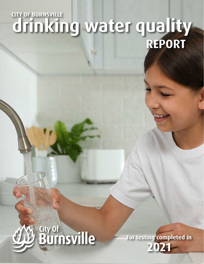# **drinking water quality REPORT CITY OF BURNSVILLE**



**For testing completed in 2021**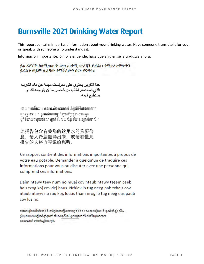# **Burnsville 2021 Drinking Water Report**

This report contains important information about your drinking water. Have someone translate it for you, or speak with someone who understands it.

Información importante. Si no la entiende, haga que alguien se la traduzca ahora.

ይህ ሪፖርት ስለሚጠጡት ውሀ ጠቃሚ መረጃን ይዟል፡፡ የሚተረጉምሎትን ይፈልጉ ወይም ሊረዳው የሚችለውን ሰው ያናግሩ፡፡

هذا النقر بر يحتوي على معولمات مهمة عن ماء الشرب الذي تسخدمه. اطلَب من شخص ما ان يترجمه لك او بستطيع فهمه

របាយការណ៍នេះ មានសារ:សំខាន់ណាស់ គិស្តីអំពីទឹកដែលលោក-អ្នកទទួលទាន ។ ចូររកជនណាម្នាក់ឲ្យបកប្រែជូនលោក-អ្នក បក៏និយាយជាមួយជនណាម្នាក់ ដែលយល់នូវន័យនេះច្បាស់លាស់ ។

此报告包含有关您的饮用水的重要信 息。请人帮您翻译出来, 或请看懂此 报告的人将内容说给您听。

Ce rapport contient des informations importantes à propos de votre eau potable. Demander à quelqu'un de traduire ces informations pour vous ou discuter avec une personne qui comprend ces informations.

Daim ntawy teey num no muaj cov ntaub ntawy tseem ceeb hais txog koj cov dej haus. Nrhiav ib tug neeg pab txhais cov ntaub ntawy no rau koj, lossis tham nrog ib tug neeg uas paub cov lus no.

တၢဴဟ်ဖျါတခါအံ့၊အိဉ်ဒီးတၢဴဂ္ဂၢ်တၢဴကျိုလ၊အရှုဒိုဉ်ဝဲဒဉ်လ၊အဘဉ်ယႏဒီးနထံအီနဉ်လီ၊.. မှာ်ပွာတကကကျိုးထံ ရှု့်နာတင်္ဂအီးလာနှုဂိ<sup>ုင်္</sup>ဂါ မှုတမှာ်ကတိယာ်ဒီးပွာတကက လာအနှုပ်ကြတ်အုံးနဉ်တကွ}်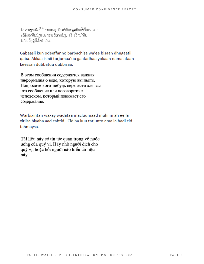ในลายๆามในนี้มีรายละอรูกอินสำคัมทรูอทิบน้ำก็มออๆท่าม. *ໃຫ້*ຄົນໃດຄົນນຶ່ງແປພາສາໃຫ້ທ່ານຟັງ, ຣລື້ ເວົ້ານຳຄົນ ใดลิมมีๆผู้ตี๊ะอิ๊าใจมัน.

Gabaasii kun odeeffanno barbachisa wa'ee bisaan dhugaatii qaba. Akkaa isinii turjumaa'uu gaafadhaa yokaan nama afaan keessan dubbatuu dubbisaa.

В этом сообщении содержится важная информация о воде, которую вы пьёте. Попросите кого-нибудь перевести для вас это сообщение или поговорите с человеком, который понимает его содержание.

Warbixintan waxay wadataa macluumaad muhiim ah ee la xiriira biyaha aad cabtid. Cid ha kuu tarjunto ama la hadl cid fahmaysa.

Tài liệu này có tin tức quan trọng về nước uống của quý vị. Hãy nhờ người dịch cho quý vị, hoặc hỏi người nào hiểu tài liệu này.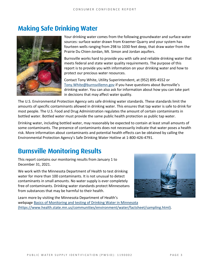# **Making Safe Drinking Water**



Your drinking water comes from the following groundwater and surface water sources: surface water drawn from Kraemer Quarry and your system has fourteen wells ranging from 298 to 1030 feet deep, that draw water from the Prairie Du Chien-Jordan, Mt. Simon and Jordan aquifers.

Burnsville works hard to provide you with safe and reliable drinking water that meets federal and state water quality requirements. The purpose of this report is to provide you with information on your drinking water and how to protect our precious water resources.

Contact Tony White, Utility Superintendent, at (952) 895-4552 or [Tony.White@burnsvillemn.gov](mailto:tony.white@burnsvillemn.gov?subject=Water%20Quality%20Report) if you have questions about Burnsville's drinking water. You can also ask for information about how you can take part in decisions that may affect water quality.

The U.S. Environmental Protection Agency sets safe drinking water standards. These standards limit the amounts of specific contaminants allowed in drinking water. This ensures that tap water is safe to drink for most people. The U.S. Food and Drug Administration regulates the amount of certain contaminants in bottled water. Bottled water must provide the same public health protection as public tap water.

Drinking water, including bottled water, may reasonably be expected to contain at least small amounts of some contaminants. The presence of contaminants does not necessarily indicate that water poses a health risk. More information about contaminants and potential health effects can be obtained by calling the Environmental Protection Agency's Safe Drinking Water Hotline at 1-800-426-4791.

# **Burnsville Monitoring Results**

This report contains our monitoring results from January 1 to December 31, 2021.

We work with the Minnesota Department of Health to test drinking water for more than 100 contaminants. It is not unusual to detect contaminants in small amounts. No water supply is ever completely free of contaminants. Drinking water standards protect Minnesotans from substances that may be harmful to their health.



Learn more by visiting the Minnesota Department of Health's webpage [Basics of Monitoring and testing of Drinking Water](https://www.health.state.mn.us/communities/environment/water/factsheet/sampling.html) in Minnesota [\(https://www.health.state.mn.us/communities/environment/water/factsheet/sampling.html\).](https://www.health.state.mn.us/communities/environment/water/factsheet/sampling.html)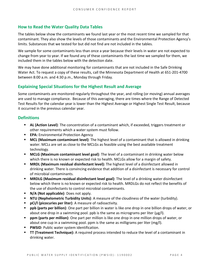### **How to Read the Water Quality Data Tables**

The tables below show the contaminants we found last year or the most recent time we sampled for that contaminant. They also show the levels of those contaminants and the Environmental Protection Agency's limits. Substances that we tested for but did not find are not included in the tables.

We sample for some contaminants less than once a year because their levels in water are not expected to change from year to year. If we found any of these contaminants the last time we sampled for them, we included them in the tables below with the detection date.

We may have done additional monitoring for contaminants that are not included in the Safe Drinking Water Act. To request a copy of these results, call the Minnesota Department of Health at 651-201-4700 between 8:00 a.m. and 4:30 p.m., Monday through Friday.

### **Explaining Special Situations for the Highest Result and Average**

Some contaminants are monitored regularly throughout the year, and rolling (or moving) annual averages are used to manage compliance. Because of this averaging, there are times where the Range of Detected Test Results for the calendar year is lower than the Highest Average or Highest Single Test Result, because it occurred in the previous calendar year.

### **Definitions**

- **AL (Action Level)**: The concentration of a contaminant which, if exceeded, triggers treatment or other requirements which a water system must follow.
- **EPA:** Environmental Protection Agency
- **MCL (Maximum contaminant level)**: The highest level of a contaminant that is allowed in drinking water. MCLs are set as close to the MCLGs as feasible using the best available treatment technology.
- **MCLG (Maximum contaminant level goal)**: The level of a contaminant in drinking water below which there is no known or expected risk to health. MCLGs allow for a margin of safety.
- **MRDL (Maximum residual disinfectant level):** The highest level of a disinfectant allowed in drinking water. There is convincing evidence that addition of a disinfectant is necessary for control of microbial contaminants.
- **MRDLG (Maximum residual disinfectant level goal)**: The level of a drinking water disinfectant below which there is no known or expected risk to health. MRDLGs do not reflect the benefits of the use of disinfectants to control microbial contaminants.
- **N/A (Not applicable)**: Does not apply.
- **NTU (Nephelometric Turbidity Units)**: A measure of the cloudiness of the water (turbidity).
- **pCi/l (picocuries per liter)**: A measure of radioactivity.
- **ppb (parts per billion)**: One part per billion in water is like one drop in one billion drops of water, or about one drop in a swimming pool. ppb is the same as micrograms per liter ( $\mu$ g/l).
- **ppm (parts per million)**: One part per million is like one drop in one million drops of water, or about one cup in a swimming pool. ppm is the same as milligrams per liter (mg/l).
- **PWSID**: Public water system identification.
- **TT (Treatment Technique):** A required process intended to reduce the level of a contaminant in drinking water.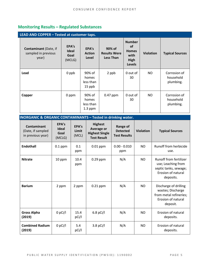### **Monitoring Results – Regulated Substances**

| LEAD AND COPPER - Tested at customer taps.                   |                                         |                                           |                                                   |                                                                             |                  |                                        |
|--------------------------------------------------------------|-----------------------------------------|-------------------------------------------|---------------------------------------------------|-----------------------------------------------------------------------------|------------------|----------------------------------------|
| <b>Contaminant</b> (Date, if<br>sampled in previous<br>year) | EPA's<br><b>Ideal</b><br>Goal<br>(MCLG) | EPA's<br><b>Action</b><br>Level           | 90% of<br><b>Results Were</b><br><b>Less Than</b> | <b>Number</b><br><b>of</b><br><b>Homes</b><br>with<br>High<br><b>Levels</b> | <b>Violation</b> | <b>Typical Sources</b>                 |
| Lead                                                         | 0 ppb                                   | 90% of<br>homes<br>less than<br>15 ppb    | 2 ppb                                             | 0 out of<br>30                                                              | NO.              | Corrosion of<br>household<br>plumbing. |
| Copper                                                       | 0 ppm                                   | 90% of<br>homes<br>less than<br>$1.3$ ppm | 0.47 ppm                                          | 0 out of<br>30                                                              | NO               | Corrosion of<br>household<br>plumbing. |

| <b>INORGANIC &amp; ORGANIC CONTAMINANTS - Tested in drinking water.</b> |                                         |                         |                                                                                    |                                                    |                  |                                                                                                                 |
|-------------------------------------------------------------------------|-----------------------------------------|-------------------------|------------------------------------------------------------------------------------|----------------------------------------------------|------------------|-----------------------------------------------------------------------------------------------------------------|
| <b>Contaminant</b><br>(Date, if sampled<br>in previous year)            | EPA's<br><b>Ideal</b><br>Goal<br>(MCLG) | EPA's<br>Limit<br>(MCL) | <b>Highest</b><br><b>Average or</b><br><b>Highest Single</b><br><b>Test Result</b> | Range of<br><b>Detected</b><br><b>Test Results</b> | <b>Violation</b> | <b>Typical Sources</b>                                                                                          |
| <b>Endothall</b>                                                        | $0.1$ ppm                               | 0.1<br>ppm              | $0.01$ ppm                                                                         | $0.00 - 0.010$<br>ppm                              | <b>NO</b>        | Runoff from herbicide<br>use.                                                                                   |
| <b>Nitrate</b>                                                          | 10 ppm                                  | 10.4<br>ppm             | $0.29$ ppm                                                                         | N/A                                                | <b>NO</b>        | <b>Runoff from fertilizer</b><br>use; Leaching from<br>septic tanks, sewage;<br>Erosion of natural<br>deposits. |
| <b>Barium</b>                                                           | 2 ppm                                   | 2 ppm                   | $0.21$ ppm                                                                         | N/A                                                | <b>NO</b>        | Discharge of drilling<br>wastes; Discharge<br>from metal refineries;<br>Erosion of natural<br>deposit.          |
| <b>Gross Alpha</b><br>(2019)                                            | $0$ pCi/l                               | 15.4<br>pCi/l           | $6.8$ pCi/l                                                                        | N/A                                                | N <sub>O</sub>   | Erosion of natural<br>deposits.                                                                                 |
| <b>Combined Radium</b><br>(2019)                                        | $0$ pCi/l                               | 5.4<br>pCi/l            | $3.8$ pCi/l                                                                        | N/A                                                | <b>NO</b>        | Erosion of natural<br>deposits.                                                                                 |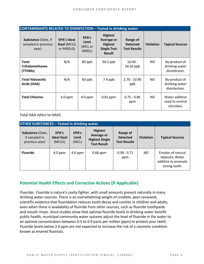| <b>CONTAMINANTS RELATED TO DISINFECTION - Tested in drinking water.</b> |                                               |                                    |                                                                                              |                                                           |                  |                                                  |
|-------------------------------------------------------------------------|-----------------------------------------------|------------------------------------|----------------------------------------------------------------------------------------------|-----------------------------------------------------------|------------------|--------------------------------------------------|
| Substance (Date, if<br>sampled in previous<br>year)                     | <b>EPA's Ideal</b><br>Goal (MCLG<br>or MRDLG) | EPA's<br>Limit<br>(MCL or<br>MRDL) | <b>Highest</b><br><b>Average or</b><br><b>Highest</b><br><b>Single Test</b><br><b>Result</b> | <b>Range of</b><br><b>Detected</b><br><b>Test Results</b> | <b>Violation</b> | <b>Typical Sources</b>                           |
| <b>Total</b><br><b>Trihalomethanes</b><br>(TTHMs)                       | N/A                                           | 80 ppb                             | 30.5 ppb                                                                                     | $10.40 -$<br>34.20 ppb                                    | NO.              | By-product of<br>drinking water<br>disinfection. |
| <b>Total Haloacetic</b><br>Acids (HAA)                                  | N/A                                           | 60 ppb                             | $7.4$ ppb                                                                                    | $2.70 - 10.90$<br>ppb                                     | NO.              | By-product of<br>drinking water<br>disinfection. |
| <b>Total Chlorine</b>                                                   | $4.0$ ppm                                     | $4.0$ ppm                          | 0.81 ppm                                                                                     | $0.75 - 0.86$<br>ppm                                      | NO.              | Water additive<br>used to control<br>microbes.   |

Total HAA refers to HAA5

| <b>OTHER SUBSTANCES - Tested in drinking water.</b> |                                      |                         |                                                                                    |                                                    |                  |                                                                               |
|-----------------------------------------------------|--------------------------------------|-------------------------|------------------------------------------------------------------------------------|----------------------------------------------------|------------------|-------------------------------------------------------------------------------|
| Substance (Date,<br>if sampled in<br>previous year) | EPA's<br><b>Ideal Goal</b><br>(MCLG) | EPA's<br>Limit<br>(MCL) | <b>Highest</b><br><b>Average or</b><br><b>Highest Single</b><br><b>Test Result</b> | Range of<br><b>Detected</b><br><b>Test Results</b> | <b>Violation</b> | <b>Typical Sources</b>                                                        |
| <b>Fluoride</b>                                     | $4.0$ ppm                            | $4.0$ ppm               | $0.66$ ppm                                                                         | $0.58 - 0.71$<br>ppm                               | NO.              | Erosion of natural<br>deposits; Water<br>additive to promote<br>strong teeth. |

### **Potential Health Effects and Corrective Actions (If Applicable)**

Fluoride: Fluoride is nature's cavity fighter, with small amounts present naturally in many drinking water sources. There is an overwhelming weight of credible, peer-reviewed, scientific evidence that fluoridation reduces tooth decay and cavities in children and adults, even when there is availability of fluoride from other sources, such as fluoride toothpaste and mouth rinses. Since studies show that optimal fluoride levels in drinking water benefit public health, municipal community water systems adjust the level of fluoride in the water to an optimal concentration between 0.5 to 0.9 parts per million (ppm) to protect your teeth. Fluoride levels below 2.0 ppm are not expected to increase the risk of a cosmetic condition known as enamel fluorosis.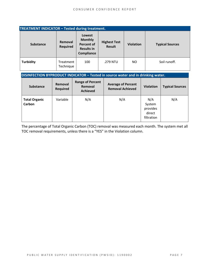| <b>TREATMENT INDICATOR - Tested during treatment.</b> |                            |                                                                                  |                                      |                  |                        |
|-------------------------------------------------------|----------------------------|----------------------------------------------------------------------------------|--------------------------------------|------------------|------------------------|
| <b>Substance</b>                                      | Removal<br><b>Required</b> | Lowest<br><b>Monthly</b><br><b>Percent of</b><br><b>Results in</b><br>Compliance | <b>Highest Test</b><br><b>Result</b> | <b>Violation</b> | <b>Typical Sources</b> |
| <b>Turbidity</b>                                      | Treatment<br>Technique     | 100                                                                              | .279 NTU                             | NO.              | Soil runoff.           |

### **DISINFECTION BYPRODUCT INDICATOR – Tested in source water and in drinking water.**

| <b>Substance</b>               | Removal<br><b>Required</b> | <b>Range of Percent</b><br>Removal<br><b>Achieved</b> | <b>Average of Percent</b><br><b>Removal Achieved</b> | <b>Violation</b>                                  | <b>Typical Sources</b> |
|--------------------------------|----------------------------|-------------------------------------------------------|------------------------------------------------------|---------------------------------------------------|------------------------|
| <b>Total Organic</b><br>Carbon | Variable                   | N/A                                                   | N/A                                                  | N/A<br>System<br>provides<br>direct<br>filtration | N/A                    |

The percentage of Total Organic Carbon (TOC) removal was measured each month. The system met all TOC removal requirements, unless there is a "YES" in the Violation column.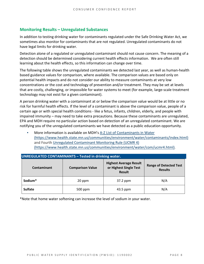### **Monitoring Results – Unregulated Substances**

In addition to testing drinking water for contaminants regulated under the Safe Drinking Water Act, we sometimes also monitor for contaminants that are not regulated. Unregulated contaminants do not have legal limits for drinking water.

Detection alone of a regulated or unregulated contaminant should not cause concern. The meaning of a detection should be determined considering current health effects information. We are often still learning about the health effects, so this information can change over time.

The following table shows the unregulated contaminants we detected last year, as well as human-health based guidance values for comparison, where available. The comparison values are based only on potential health impacts and do not consider our ability to measure contaminants at very low concentrations or the cost and technology of prevention and/or treatment. They may be set at levels that are costly, challenging, or impossible for water systems to meet (for example, large-scale treatment technology may not exist for a given contaminant).

A person drinking water with a contaminant at or below the comparison value would be at little or no risk for harmful health effects. If the level of a contaminant is above the comparison value, people of a certain age or with special health conditions - like a fetus, infants, children, elderly, and people with impaired immunity – may need to take extra precautions. Because these contaminants are unregulated, EPA and MDH require no particular action based on detection of an unregulated contaminant. We are notifying you of the unregulated contaminants we have detected as a public education opportunity.

More information is available on MDH's A-Z List of Contaminants in Water [\(https://www.health.state.mn.us/communities/environment/water/contaminants/index.html\)](https://www.health.state.mn.us/communities/environment/water/contaminants/index.html) and Fourth [Unregulated Contaminant Monitoring Rule \(UCMR 4\)](https://www.health.state.mn.us/communities/environment/water/com/ucmr4.html)  [\(https://www.health.state.mn.us/communities/environment/water/com/ucmr4.html\).](https://www.health.state.mn.us/communities/environment/water/com/ucmr4.html)

| <b>UNREGULATED CONTAMINANTS - Tested in drinking water.</b> |                         |                                                                          |                                                 |  |  |  |
|-------------------------------------------------------------|-------------------------|--------------------------------------------------------------------------|-------------------------------------------------|--|--|--|
| Contaminant                                                 | <b>Comparison Value</b> | <b>Highest Average Result</b><br>or Highest Single Test<br><b>Result</b> | <b>Range of Detected Test</b><br><b>Results</b> |  |  |  |
| Sodium*                                                     | 20 ppm                  | 37.2 ppm                                                                 | N/A                                             |  |  |  |
| <b>Sulfate</b>                                              | 500 ppm                 | 43.5 ppm                                                                 | N/A                                             |  |  |  |

\*Note that home water softening can increase the level of sodium in your water.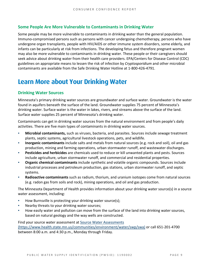### **Some People Are More Vulnerable to Contaminants in Drinking Water**

Some people may be more vulnerable to contaminants in drinking water than the general population. Immuno-compromised persons such as persons with cancer undergoing chemotherapy, persons who have undergone organ transplants, people with HIV/AIDS or other immune system disorders, some elderly, and infants can be particularly at risk from infections. The developing fetus and therefore pregnant women may also be more vulnerable to contaminants in drinking water. These people or their caregivers should seek advice about drinking water from their health care providers. EPA/Centers for Disease Control (CDC) guidelines on appropriate means to lessen the risk of infection by *Cryptosporidium* and other microbial contaminants are available from the Safe Drinking Water Hotline at 1-800-426-4791.

## **Learn More about Your Drinking Water**

### **Drinking Water Sources**

Minnesota's primary drinking water sources are groundwater and surface water. Groundwater is the water found in aquifers beneath the surface of the land. Groundwater supplies 75 percent of Minnesota's drinking water. Surface water is the water in lakes, rivers, and streams above the surface of the land. Surface water supplies 25 percent of Minnesota's drinking water.

Contaminants can get in drinking water sources from the natural environment and from people's daily activities. There are five main types of contaminants in drinking water sources.

- **Microbial contaminants,** such as viruses, bacteria, and parasites. Sources include sewage treatment plants, septic systems, agricultural livestock operations, pets, and wildlife.
- Inorganic contaminants include salts and metals from natural sources (e.g. rock and soil), oil and gas production, mining and farming operations, urban stormwater runoff, and wastewater discharges.
- **Pesticides and herbicides** are chemicals used to reduce or kill unwanted plants and pests. Sources include agriculture, urban stormwater runoff, and commercial and residential properties.
- **Organic chemical contaminants** include synthetic and volatile organic compounds. Sources include industrial processes and petroleum production, gas stations, urban stormwater runoff, and septic systems.
- Radioactive contaminants such as radium, thorium, and uranium isotopes come from natural sources (e.g. radon gas from soils and rock), mining operations, and oil and gas production.

The Minnesota Department of Health provides information about your drinking water source(s) in a source water assessment, including:

- How Burnsville is protecting your drinking water source(s);
- Nearby threats to your drinking water sources;
- How easily water and pollution can move from the surface of the land into drinking water sources, based on natural geology and the way wells are constructed.

Find your source water assessment a[t Source Water Assessments](https://www.health.state.mn.us/communities/environment/water/swp/swa)  [\(https://www.health.state.mn.us/communities/environment/water/swp/swa\)](https://www.health.state.mn.us/communities/environment/water/swp/swa) or call 651-201-4700 between 8:00 a.m. and 4:30 p.m., Monday through Friday.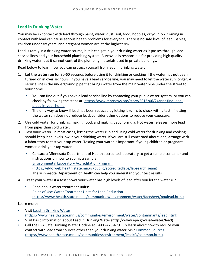### **Lead in Drinking Water**

You may be in contact with lead through paint, water, dust, soil, food, hobbies, or your job. Coming in contact with lead can cause serious health problems for everyone. There is no safe level of lead. Babies, children under six years, and pregnant women are at the highest risk.

Lead is rarely in a drinking water source, but it can get in your drinking water as it passes through lead service lines and your household plumbing system. Burnsville is responsible for providing high quality drinking water, but it cannot control the plumbing materials used in private buildings.

Read below to learn how you can protect yourself from lead in drinking water.

- 1. **Let the water run** for 30-60 seconds before using it for drinking or cooking if the water has not been turned on in over six hours. If you have a lead service line, you may need to let the water run longer. A service line is the underground pipe that brings water from the main water pipe under the street to your home.
	- You can find out if you have a lead service line by contacting your public water system, or you can check by following the steps at: [https://www.mprnews.org/story/2016/06/24/npr-find-lead](https://www.mprnews.org/story/2016/06/24/npr-find-lead-pipes-in-your-home)[pipes-in-your-home](https://www.mprnews.org/story/2016/06/24/npr-find-lead-pipes-in-your-home)
	- The only way to know if lead has been reduced by letting it run is to check with a test. If letting the water run does not reduce lead, consider other options to reduce your exposure.
- 2. **Use cold water** for drinking, making food, and making baby formula. Hot water releases more lead from pipes than cold water.
- 3. **Test your water.** In most cases, letting the water run and using cold water for drinking and cooking should keep lead levels low in your drinking water. If you are still concerned about lead, arrange with a laboratory to test your tap water. Testing your water is important if young children or pregnant women drink your tap water.
	- Contact a Minnesota Department of Health accredited laboratory to get a sample container and instructions on how to submit a sample: [Environmental Laboratory Accreditation Program](https://eldo.web.health.state.mn.us/public/accreditedlabs/labsearch.seam)  [\(https://eldo.web.health.state.mn.us/public/accreditedlabs/labsearch.seam\)](https://eldo.web.health.state.mn.us/public/accreditedlabs/labsearch.seam)  The Minnesota Department of Health can help you understand your test results.
- 4. **Treat your water** if a test shows your water has high levels of lead after you let the water run.
	- Read about water treatment units: [Point-of-Use Water Treatment Units for Lead Reduction](https://www.health.state.mn.us/communities/environment/water/factsheet/poulead.html)  [\(https://www.health.state.mn.us/communities/environment/water/factsheet/poulead.html\)](https://www.health.state.mn.us/communities/environment/water/factsheet/poulead.html)

Learn more:

- Visit Lead in Drinking Water [\(https://www.health.state.mn.us/communities/environment/water/contaminants/lead.html\)](https://www.health.state.mn.us/communities/environment/water/contaminants/lead.html)
- Visit [Basic Information about Lead in Drinking Water](http://www.epa.gov/safewater/lead) (http://www.epa.gov/safewater/lead)
- Call the EPA Safe Drinking Water Hotline at 1-800-426-4791.To learn about how to reduce your contact with lead from sources other than your drinking water, visi[t Common Sources](https://www.health.state.mn.us/communities/environment/lead/fs/common.html)  [\(https://www.health.state.mn.us/communities/environment/lead/fs/common.html\).](https://www.health.state.mn.us/communities/environment/lead/fs/common.html)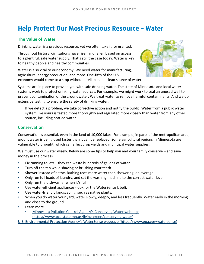## **Help Protect Our Most Precious Resource – Water**

### **The Value of Water**

Drinking water is a precious resource, yet we often take it for granted.

Throughout history, civilizations have risen and fallen based on access to a plentiful, safe water supply. That's still the case today. Water is key to healthy people and healthy communities.

Water is also vital to our economy. We need water for manufacturing, agriculture, energy production, and more. One-fifth of the U.S. economy would come to a stop without a reliable and clean source of water.



Systems are in place to provide you with safe drinking water. The state of Minnesota and local water systems work to protect drinking water sources. For example, we might work to seal an unused well to prevent contamination of the groundwater. We treat water to remove harmful contaminants. And we do extensive testing to ensure the safety of drinking water.

If we detect a problem, we take corrective action and notify the public. Water from a public water system like yours is tested more thoroughly and regulated more closely than water from any other source, including bottled water.

### **Conservation**

Conservation is essential, even in the land of 10,000 lakes. For example, in parts of the metropolitan area, groundwater is being used faster than it can be replaced. Some agricultural regions in Minnesota are vulnerable to drought, which can affect crop yields and municipal water supplies.

We must use our water wisely. Below are some tips to help you and your family conserve – and save money in the process.

- Fix running toilets—they can waste hundreds of gallons of water.
- Turn off the tap while shaving or brushing your teeth.
- Shower instead of bathe. Bathing uses more water than showering, on average.
- Only run full loads of laundry, and set the washing machine to the correct water level.
- Only run the dishwasher when it's full.
- Use water-efficient appliances (look for the WaterSense label).
- Use water-friendly landscaping, such as native plants.
- When you do water your yard, water slowly, deeply, and less frequently. Water early in the morning and close to the ground.
- Learn more
	- Minnesota Pollution Control Agency's Conserving Water webpage [\(https://www.pca.state.mn.us/living-green/conserving-water\)](https://www.pca.state.mn.us/living-green/conserving-water)

[U.S. Environmental Protection Agency's WaterSense webpage \(https://www.epa.gov/watersense\)](https://www.epa.gov/watersense)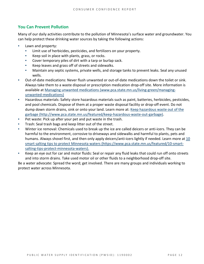### **You Can Prevent Pollution**

Many of our daily activities contribute to the pollution of Minnesota's surface water and groundwater. You can help protect these drinking water sources by taking the following actions:

- Lawn and property:
	- Limit use of herbicides, pesticides, and fertilizers on your property.
	- Keep soil in place with plants, grass, or rocks.
	- Cover temporary piles of dirt with a tarp or burlap sack.
	- Keep leaves and grass off of streets and sidewalks.
	- Maintain any septic systems, private wells, and storage tanks to prevent leaks. Seal any unused wells.
- Out-of-date medications: Never flush unwanted or out-of-date medications down the toilet or sink. Always take them to a waste disposal or prescription medication drop-off site. More information is available at [Managing unwanted medications \(www.pca.state.mn.us/living-green/managing](http://www.pca.state.mn.us/living-green/managing-unwanted-medications)[unwanted-medications\)](http://www.pca.state.mn.us/living-green/managing-unwanted-medications)
- Hazardous materials: Safety store hazardous materials such as paint, batteries, herbicides, pesticides, and pool chemicals. Dispose of them at a proper waste disposal facility or drop-off event. Do not dump down storm drains, sink or onto your land. Learn more at: [Keep hazardous waste out of the](http://www.pca.state.mn.us/featured/keep-hazardous-waste-out-garbage)  [garbage \(http://www.pca.state.mn.us/featured/keep-hazardous-waste-out-garbage\).](http://www.pca.state.mn.us/featured/keep-hazardous-waste-out-garbage)
- Pet waste: Pick up after your pet and put waste in the trash.
- Trash: Seal trash bags and keep litter out of the street.
- Winter ice removal: Chemicals used to break up the ice are called deicers or anti-icers. They can be harmful to the environment, corrosive to driveways and sidewalks and harmful to plants, pets and humans. Always shovel first, and then only apply deicers/anti-icers lightly if needed. Learn more at 10 [smart salting tips to protect Minnesota waters \(https://www.pca.state.mn.us/featured/10-smart](https://www.pca.state.mn.us/featured/10-smart-salting-tips-protect-minnesota-waters)[salting-tips-protect-minnesota-waters\).](https://www.pca.state.mn.us/featured/10-smart-salting-tips-protect-minnesota-waters)
- Keep an eye out for car and motor fluids: Seal or repair any fluid leaks that could run off onto streets and into storm drains. Take used motor oil or other fluids to a neighborhood drop-off site.

Be a water advocate: Spread the word; get involved. There are many groups and individuals working to protect water across Minnesota.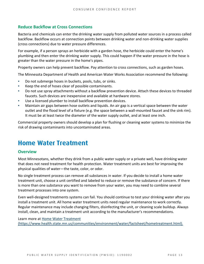### **Reduce Backflow at Cross Connections**

Bacteria and chemicals can enter the drinking water supply from polluted water sources in a process called backflow. Backflow occurs at connection points between drinking water and non-drinking water supplies (cross connections) due to water pressure differences.

For example, if a person sprays an herbicide with a garden hose, the herbicide could enter the home's plumbing and then enter the drinking water supply. This could happen if the water pressure in the hose is greater than the water pressure in the home's pipes.

Property owners can help prevent backflow. Pay attention to cross connections, such as garden hoses.

The Minnesota Department of Health and American Water Works Association recommend the following:

- Do not submerge hoses in buckets, pools, tubs, or sinks.
- Keep the end of hoses clear of possible contaminants.
- Do not use spray attachments without a backflow prevention device. Attach these devices to threaded faucets. Such devices are inexpensive and available at hardware stores.
- Use a licensed plumber to install backflow prevention devices.
- Maintain air gaps between hose outlets and liquids. An air gap is a vertical space between the water outlet and the flood level of a fixture (e.g. the space between a wall-mounted faucet and the sink rim). It must be at least twice the diameter of the water supply outlet, and at least one inch.

Commercial property owners should develop a plan for flushing or cleaning water systems to minimize the risk of drawing contaminants into uncontaminated areas.

### **Home Water Treatment**

### **Overview**

Most Minnesotans, whether they drink from a public water supply or a private well, have drinking water that does not need treatment for health protection. Water treatment units are best for improving the physical qualities of water—the taste, color, or odor.

No single treatment process can remove all substances in water. If you decide to install a home water treatment unit, choose a unit certified and labeled to reduce or remove the substance of concern. If there is more than one substance you want to remove from your water, you may need to combine several treatment processes into one system.

Even well-designed treatments systems can fail. You should continue to test your drinking water after you install a treatment unit. All home water treatment units need regular maintenance to work correctly. Regular maintenance may include changing filters, disinfecting the unit, or cleaning scale buildup. Always install, clean, and maintain a treatment unit according to the manufacturer's recommendations.

Learn more at [Home Water Treatment](https://www.health.state.mn.us/communities/environment/water/factsheet/hometreatment.html)  [\(https://www.health.state.mn.us/communities/environment/water/factsheet/hometreatment.html\).](https://www.health.state.mn.us/communities/environment/water/factsheet/hometreatment.html)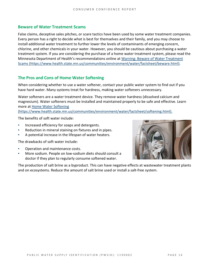### **Beware of Water Treatment Scams**

False claims, deceptive sales pitches, or scare tactics have been used by some water treatment companies. Every person has a right to decide what is best for themselves and their family, and you may choose to install additional water treatment to further lower the levels of contaminants of emerging concern, chlorine, and other chemicals in your water. However, you should be cautious about purchasing a water treatment system. If you are considering the purchase of a home water treatment system, please read the Minnesota Department of Health's recommendations online at [Warning: Beware of Water Treatment](https://www.health.state.mn.us/communities/environment/water/factsheet/beware.html)  [Scams \(https://www.health.state.mn.us/communities/environment/water/factsheet/beware.html\).](https://www.health.state.mn.us/communities/environment/water/factsheet/beware.html)

### **The Pros and Cons of Home Water Softening**

When considering whether to use a water softener, contact your public water system to find out if you have hard water. Many systems treat for hardness, making water softeners unnecessary.

Water softeners are a water treatment device. They remove water hardness (dissolved calcium and magnesium). Water softeners must be installed and maintained properly to be safe and effective. Learn more at [Home Water Softening](https://www.health.state.mn.us/communities/environment/water/factsheet/softening.html) 

[\(https://www.health.state.mn.us/communities/environment/water/factsheet/softening.html\).](https://www.health.state.mn.us/communities/environment/water/factsheet/softening.html)

The benefits of soft water include:

- Increased efficiency for soaps and detergents.
- Reduction in mineral staining on fixtures and in pipes.
- A potential increase in the lifespan of water heaters.

The drawbacks of soft water include:

- Operation and maintenance costs.
- More sodium. People on low-sodium diets should consult a doctor if they plan to regularly consume softened water.



The production of salt brine as a byproduct. This can have negative effects at wastewater treatment plants and on ecosystems. Reduce the amount of salt brine used or install a salt-free system.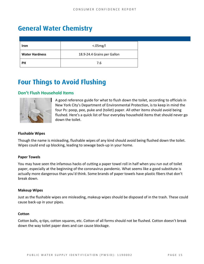# **General Water Chemistry**

| Iron                  | <.05mg/l                    |
|-----------------------|-----------------------------|
| <b>Water Hardness</b> | 18.9-24.4 Grains per Gallon |
| <b>PH</b>             | 7.6                         |

## **Four Things to Avoid Flushing**

### **Don't Flush Household Items**



A good reference guide for what to flush down the toilet, according to officials in New York City's Department of Environmental Protection, is to keep in mind the four Ps: poop, pee, puke and (toilet) paper. All other items should avoid being flushed. Here's a quick list of four everyday household items that should never go down the toilet.

### **Flushable Wipes**

Though the name is misleading, flushable wipes of any kind should avoid being flushed down the toilet. Wipes could end up blocking, leading to sewage back-up in your home.

#### **Paper Towels**

You may have seen the infamous hacks of cutting a paper towel roll in half when you run out of toilet paper, especially at the beginning of the coronavirus pandemic. What seems like a good substitute is actually more dangerous than you'd think. Some brands of paper towels have plastic fibers that don't break down.

#### **Makeup Wipes**

Just as the flushable wipes are misleading, makeup wipes should be disposed of in the trash. These could cause back-up in your pipes.

#### **Cotton**

Cotton balls, q-tips, cotton squares, etc. Cotton of all forms should not be flushed. Cotton doesn't break down the way toilet paper does and can cause blockage.